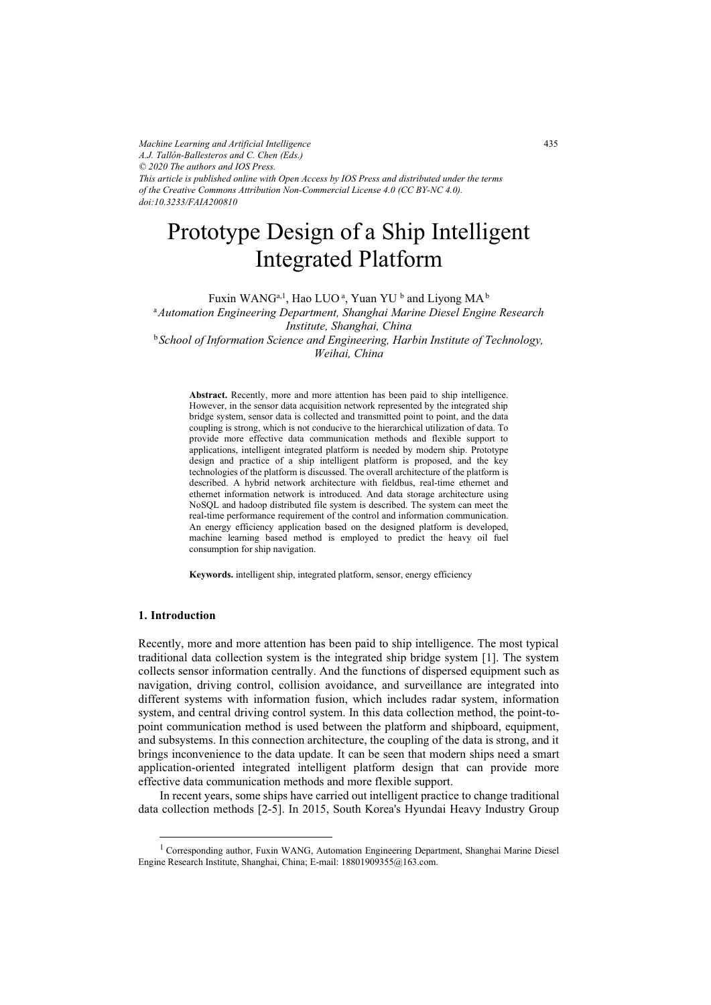*Machine Learning and Artificial Intelligence A.J. Tallón-Ballesteros and C. Chen (Eds.) © 2020 The authors and IOS Press. This article is published online with Open Access by IOS Press and distributed under the terms of the Creative Commons Attribution Non-Commercial License 4.0 (CC BY-NC 4.0). doi:10.3233/FAIA200810*

# Prototype Design of a Ship Intelligent Integrated Platform

Fuxin WANG $^{\mathrm{a},\mathrm{l}},$  Hao LUO  $^{\mathrm{a}},$  Yuan YU  $^{\mathrm{b}}$  and Liyong MA  $^{\mathrm{b}}$ <sup>a</sup>*Automation Engineering Department, Shanghai Marine Diesel Engine Research Institute, Shanghai, China*  <sup>b</sup> *School of Information Science and Engineering, Harbin Institute of Technology, Weihai, China* 

**Abstract.** Recently, more and more attention has been paid to ship intelligence. However, in the sensor data acquisition network represented by the integrated ship bridge system, sensor data is collected and transmitted point to point, and the data coupling is strong, which is not conducive to the hierarchical utilization of data. To provide more effective data communication methods and flexible support to applications, intelligent integrated platform is needed by modern ship. Prototype design and practice of a ship intelligent platform is proposed, and the key technologies of the platform is discussed. The overall architecture of the platform is described. A hybrid network architecture with fieldbus, real-time ethernet and ethernet information network is introduced. And data storage architecture using NoSQL and hadoop distributed file system is described. The system can meet the real-time performance requirement of the control and information communication. An energy efficiency application based on the designed platform is developed, machine learning based method is employed to predict the heavy oil fuel consumption for ship navigation.

**Keywords.** intelligent ship, integrated platform, sensor, energy efficiency

#### **1. Introduction**

Recently, more and more attention has been paid to ship intelligence. The most typical traditional data collection system is the integrated ship bridge system [1]. The system collects sensor information centrally. And the functions of dispersed equipment such as navigation, driving control, collision avoidance, and surveillance are integrated into different systems with information fusion, which includes radar system, information system, and central driving control system. In this data collection method, the point-topoint communication method is used between the platform and shipboard, equipment, and subsystems. In this connection architecture, the coupling of the data is strong, and it brings inconvenience to the data update. It can be seen that modern ships need a smart application-oriented integrated intelligent platform design that can provide more effective data communication methods and more flexible support.

In recent years, some ships have carried out intelligent practice to change traditional data collection methods [2-5]. In 2015, South Korea's Hyundai Heavy Industry Group

<sup>&</sup>lt;sup>1</sup> Corresponding author, Fuxin WANG, Automation Engineering Department, Shanghai Marine Diesel Engine Research Institute, Shanghai, China; E-mail: 18801909355@163.com.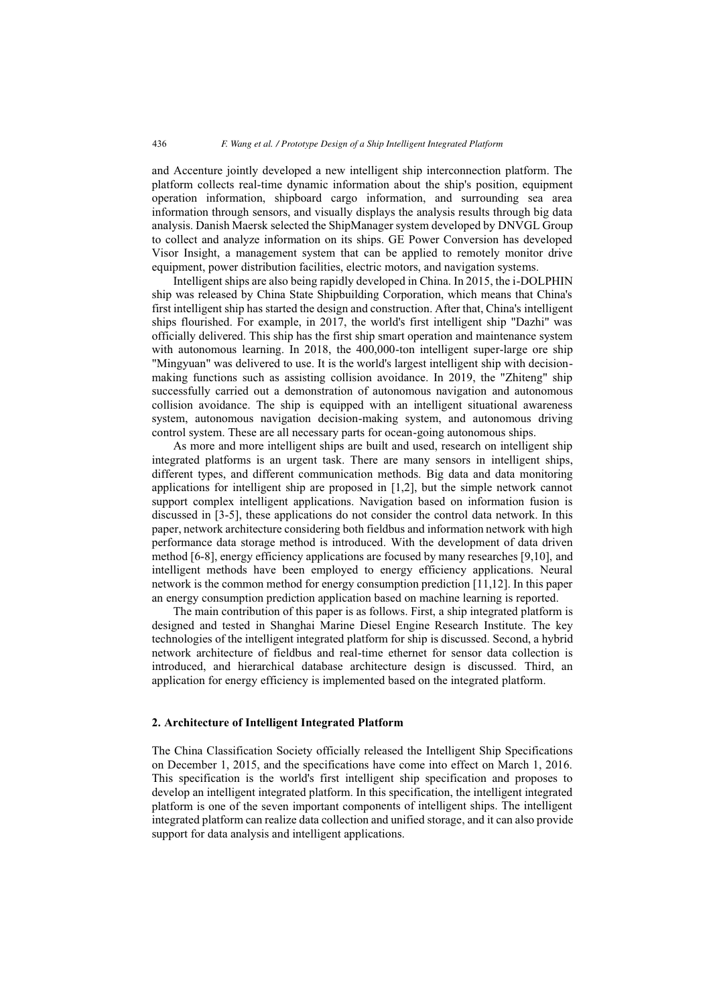and Accenture jointly developed a new intelligent ship interconnection platform. The platform collects real-time dynamic information about the ship's position, equipment operation information, shipboard cargo information, and surrounding sea area information through sensors, and visually displays the analysis results through big data analysis. Danish Maersk selected the ShipManager system developed by DNVGL Group to collect and analyze information on its ships. GE Power Conversion has developed Visor Insight, a management system that can be applied to remotely monitor drive equipment, power distribution facilities, electric motors, and navigation systems.

Intelligent ships are also being rapidly developed in China. In 2015, the i-DOLPHIN ship was released by China State Shipbuilding Corporation, which means that China's first intelligent ship has started the design and construction. After that, China's intelligent ships flourished. For example, in 2017, the world's first intelligent ship "Dazhi" was officially delivered. This ship has the first ship smart operation and maintenance system with autonomous learning. In 2018, the 400,000-ton intelligent super-large ore ship "Mingyuan" was delivered to use. It is the world's largest intelligent ship with decisionmaking functions such as assisting collision avoidance. In 2019, the "Zhiteng" ship successfully carried out a demonstration of autonomous navigation and autonomous collision avoidance. The ship is equipped with an intelligent situational awareness system, autonomous navigation decision-making system, and autonomous driving control system. These are all necessary parts for ocean-going autonomous ships.

As more and more intelligent ships are built and used, research on intelligent ship integrated platforms is an urgent task. There are many sensors in intelligent ships, different types, and different communication methods. Big data and data monitoring applications for intelligent ship are proposed in [1,2], but the simple network cannot support complex intelligent applications. Navigation based on information fusion is discussed in [3-5], these applications do not consider the control data network. In this paper, network architecture considering both fieldbus and information network with high performance data storage method is introduced. With the development of data driven method [6-8], energy efficiency applications are focused by many researches [9,10], and intelligent methods have been employed to energy efficiency applications. Neural network is the common method for energy consumption prediction [11,12]. In this paper an energy consumption prediction application based on machine learning is reported.

The main contribution of this paper is as follows. First, a ship integrated platform is designed and tested in Shanghai Marine Diesel Engine Research Institute. The key technologies of the intelligent integrated platform for ship is discussed. Second, a hybrid network architecture of fieldbus and real-time ethernet for sensor data collection is introduced, and hierarchical database architecture design is discussed. Third, an application for energy efficiency is implemented based on the integrated platform.

## **2. Architecture of Intelligent Integrated Platform**

The China Classification Society officially released the Intelligent Ship Specifications on December 1, 2015, and the specifications have come into effect on March 1, 2016. This specification is the world's first intelligent ship specification and proposes to develop an intelligent integrated platform. In this specification, the intelligent integrated platform is one of the seven important components of intelligent ships. The intelligent integrated platform can realize data collection and unified storage, and it can also provide support for data analysis and intelligent applications.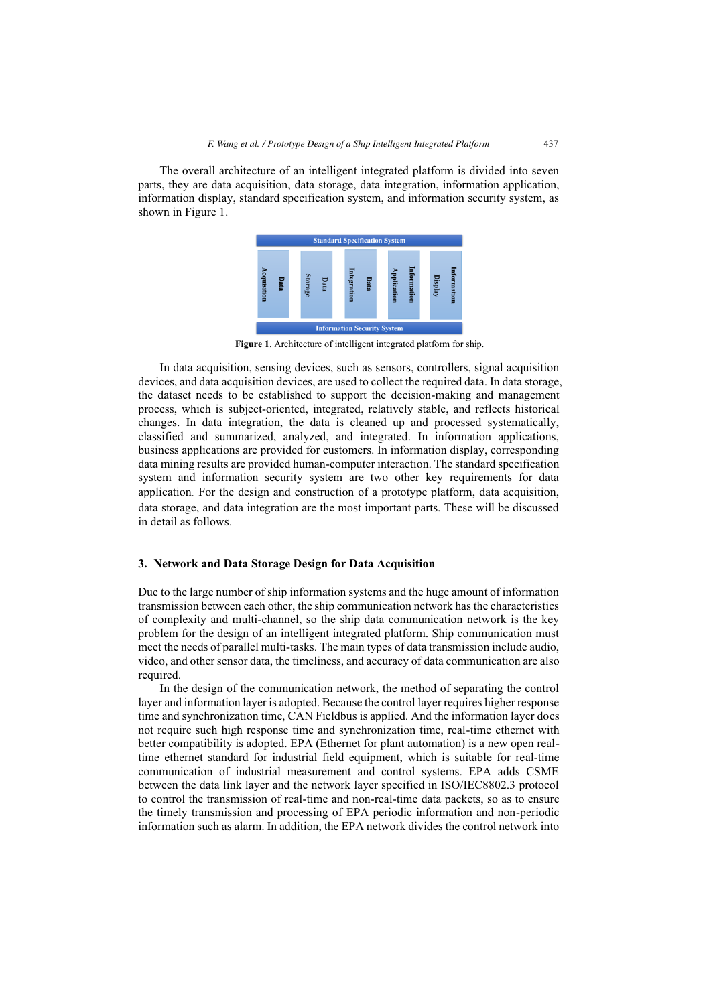The overall architecture of an intelligent integrated platform is divided into seven parts, they are data acquisition, data storage, data integration, information application, information display, standard specification system, and information security system, as shown in Figure 1.



**Figure 1**. Architecture of intelligent integrated platform for ship.

In data acquisition, sensing devices, such as sensors, controllers, signal acquisition devices, and data acquisition devices, are used to collect the required data. In data storage, the dataset needs to be established to support the decision-making and management process, which is subject-oriented, integrated, relatively stable, and reflects historical changes. In data integration, the data is cleaned up and processed systematically, classified and summarized, analyzed, and integrated. In information applications, business applications are provided for customers. In information display, corresponding data mining results are provided human-computer interaction. The standard specification system and information security system are two other key requirements for data application. For the design and construction of a prototype platform, data acquisition, data storage, and data integration are the most important parts. These will be discussed in detail as follows.

## **3. Network and Data Storage Design for Data Acquisition**

Due to the large number of ship information systems and the huge amount of information transmission between each other, the ship communication network has the characteristics of complexity and multi-channel, so the ship data communication network is the key problem for the design of an intelligent integrated platform. Ship communication must meet the needs of parallel multi-tasks. The main types of data transmission include audio, video, and other sensor data, the timeliness, and accuracy of data communication are also required.

In the design of the communication network, the method of separating the control layer and information layer is adopted. Because the control layer requires higher response time and synchronization time, CAN Fieldbus is applied. And the information layer does not require such high response time and synchronization time, real-time ethernet with better compatibility is adopted. EPA (Ethernet for plant automation) is a new open realtime ethernet standard for industrial field equipment, which is suitable for real-time communication of industrial measurement and control systems. EPA adds CSME between the data link layer and the network layer specified in ISO/IEC8802.3 protocol to control the transmission of real-time and non-real-time data packets, so as to ensure the timely transmission and processing of EPA periodic information and non-periodic information such as alarm. In addition, the EPA network divides the control network into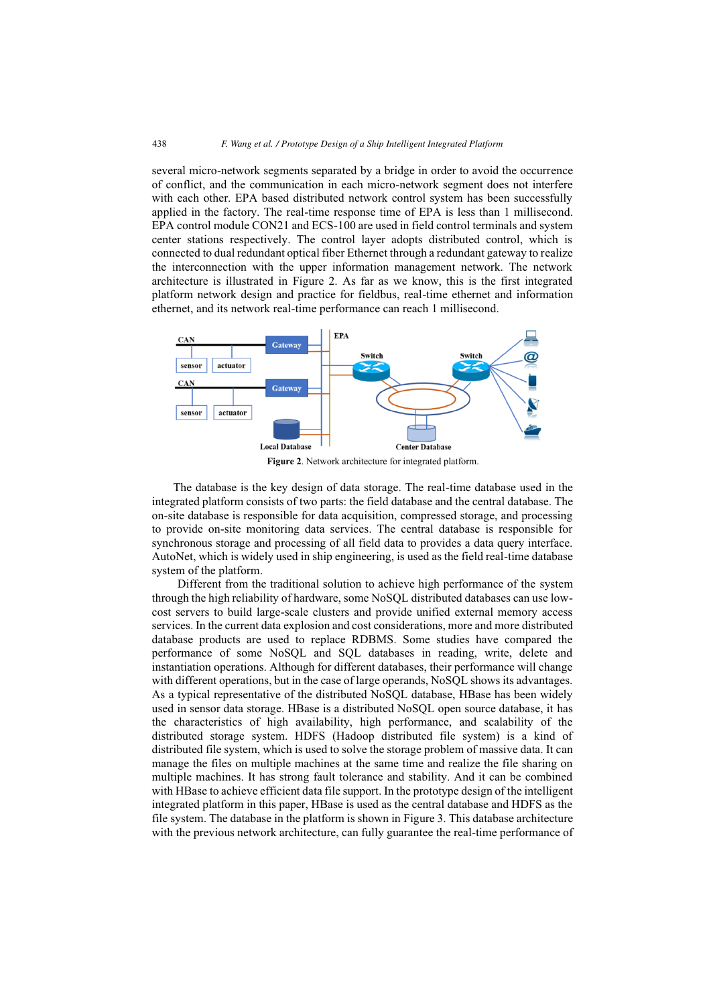several micro-network segments separated by a bridge in order to avoid the occurrence of conflict, and the communication in each micro-network segment does not interfere with each other. EPA based distributed network control system has been successfully applied in the factory. The real-time response time of EPA is less than 1 millisecond. EPA control module CON21 and ECS-100 are used in field control terminals and system center stations respectively. The control layer adopts distributed control, which is connected to dual redundant optical fiber Ethernet through a redundant gateway to realize the interconnection with the upper information management network. The network architecture is illustrated in Figure 2. As far as we know, this is the first integrated platform network design and practice for fieldbus, real-time ethernet and information ethernet, and its network real-time performance can reach 1 millisecond.



**Figure 2**. Network architecture for integrated platform.

The database is the key design of data storage. The real-time database used in the integrated platform consists of two parts: the field database and the central database. The on-site database is responsible for data acquisition, compressed storage, and processing to provide on-site monitoring data services. The central database is responsible for synchronous storage and processing of all field data to provides a data query interface. AutoNet, which is widely used in ship engineering, is used as the field real-time database system of the platform.

Different from the traditional solution to achieve high performance of the system through the high reliability of hardware, some NoSQL distributed databases can use lowcost servers to build large-scale clusters and provide unified external memory access services. In the current data explosion and cost considerations, more and more distributed database products are used to replace RDBMS. Some studies have compared the performance of some NoSQL and SQL databases in reading, write, delete and instantiation operations. Although for different databases, their performance will change with different operations, but in the case of large operands, NoSQL shows its advantages. As a typical representative of the distributed NoSQL database, HBase has been widely used in sensor data storage. HBase is a distributed NoSQL open source database, it has the characteristics of high availability, high performance, and scalability of the distributed storage system. HDFS (Hadoop distributed file system) is a kind of distributed file system, which is used to solve the storage problem of massive data. It can manage the files on multiple machines at the same time and realize the file sharing on multiple machines. It has strong fault tolerance and stability. And it can be combined with HBase to achieve efficient data file support. In the prototype design of the intelligent integrated platform in this paper, HBase is used as the central database and HDFS as the file system. The database in the platform is shown in Figure 3. This database architecture with the previous network architecture, can fully guarantee the real-time performance of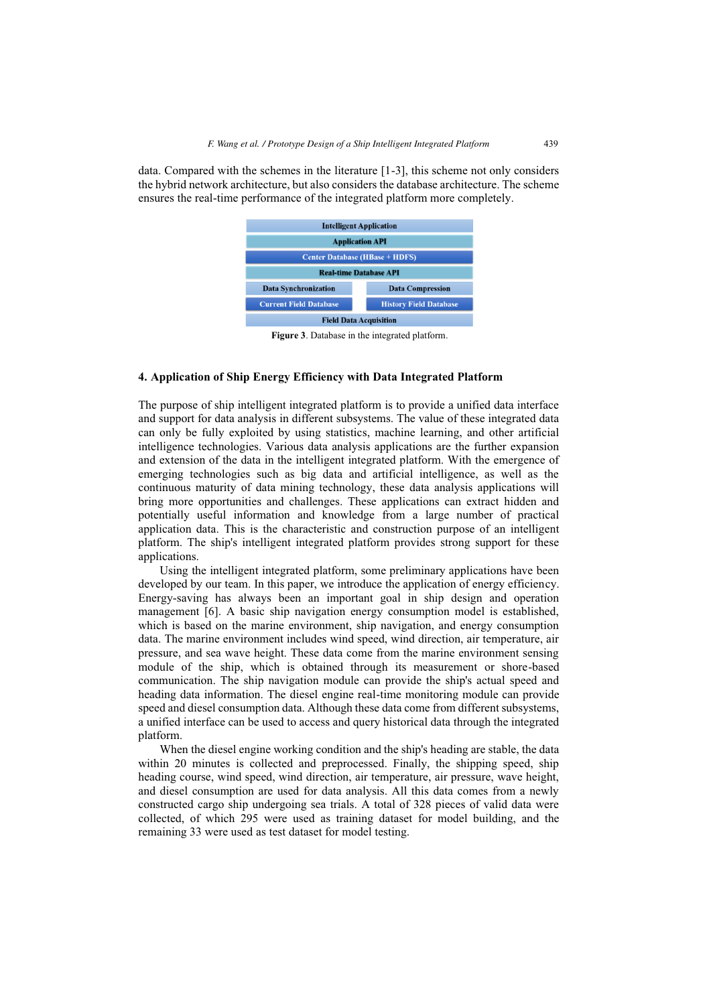data. Compared with the schemes in the literature [1-3], this scheme not only considers the hybrid network architecture, but also considers the database architecture. The scheme ensures the real-time performance of the integrated platform more completely.



**Figure 3**. Database in the integrated platform.

# **4. Application of Ship Energy Efficiency with Data Integrated Platform**

The purpose of ship intelligent integrated platform is to provide a unified data interface and support for data analysis in different subsystems. The value of these integrated data can only be fully exploited by using statistics, machine learning, and other artificial intelligence technologies. Various data analysis applications are the further expansion and extension of the data in the intelligent integrated platform. With the emergence of emerging technologies such as big data and artificial intelligence, as well as the continuous maturity of data mining technology, these data analysis applications will bring more opportunities and challenges. These applications can extract hidden and potentially useful information and knowledge from a large number of practical application data. This is the characteristic and construction purpose of an intelligent platform. The ship's intelligent integrated platform provides strong support for these applications.

Using the intelligent integrated platform, some preliminary applications have been developed by our team. In this paper, we introduce the application of energy efficiency. Energy-saving has always been an important goal in ship design and operation management [6]. A basic ship navigation energy consumption model is established, which is based on the marine environment, ship navigation, and energy consumption data. The marine environment includes wind speed, wind direction, air temperature, air pressure, and sea wave height. These data come from the marine environment sensing module of the ship, which is obtained through its measurement or shore-based communication. The ship navigation module can provide the ship's actual speed and heading data information. The diesel engine real-time monitoring module can provide speed and diesel consumption data. Although these data come from different subsystems, a unified interface can be used to access and query historical data through the integrated platform.

When the diesel engine working condition and the ship's heading are stable, the data within 20 minutes is collected and preprocessed. Finally, the shipping speed, ship heading course, wind speed, wind direction, air temperature, air pressure, wave height, and diesel consumption are used for data analysis. All this data comes from a newly constructed cargo ship undergoing sea trials. A total of 328 pieces of valid data were collected, of which 295 were used as training dataset for model building, and the remaining 33 were used as test dataset for model testing.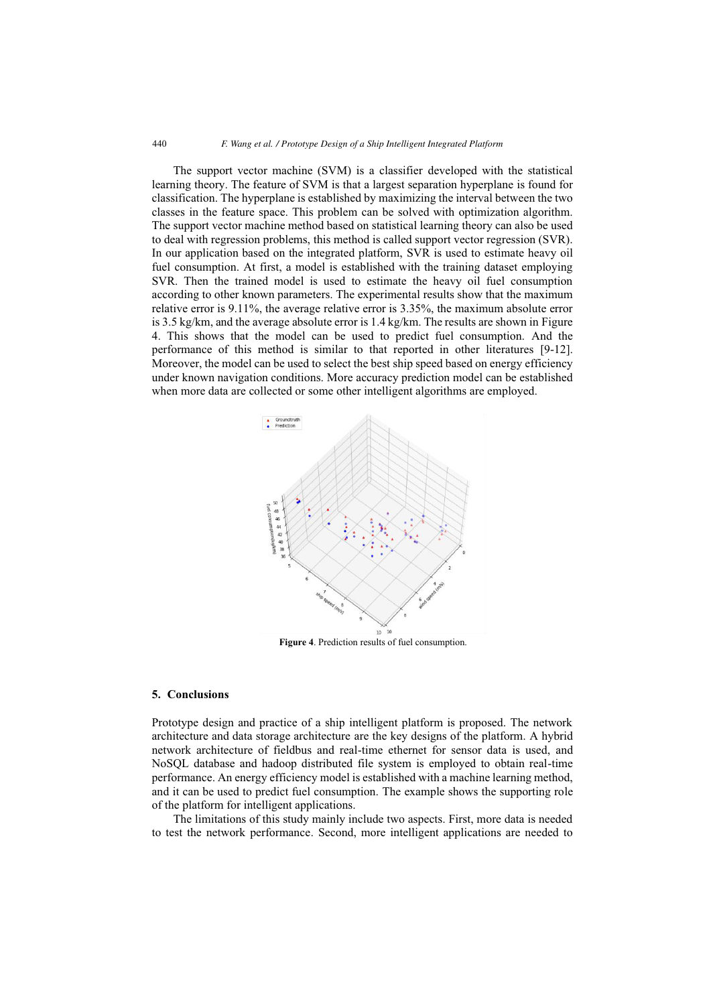The support vector machine (SVM) is a classifier developed with the statistical learning theory. The feature of SVM is that a largest separation hyperplane is found for classification. The hyperplane is established by maximizing the interval between the two classes in the feature space. This problem can be solved with optimization algorithm. The support vector machine method based on statistical learning theory can also be used to deal with regression problems, this method is called support vector regression (SVR). In our application based on the integrated platform, SVR is used to estimate heavy oil fuel consumption. At first, a model is established with the training dataset employing SVR. Then the trained model is used to estimate the heavy oil fuel consumption according to other known parameters. The experimental results show that the maximum relative error is 9.11%, the average relative error is 3.35%, the maximum absolute error is 3.5 kg/km, and the average absolute error is 1.4 kg/km. The results are shown in Figure 4. This shows that the model can be used to predict fuel consumption. And the performance of this method is similar to that reported in other literatures [9-12]. Moreover, the model can be used to select the best ship speed based on energy efficiency under known navigation conditions. More accuracy prediction model can be established when more data are collected or some other intelligent algorithms are employed.



**Figure 4**. Prediction results of fuel consumption.

#### **5. Conclusions**

Prototype design and practice of a ship intelligent platform is proposed. The network architecture and data storage architecture are the key designs of the platform. A hybrid network architecture of fieldbus and real-time ethernet for sensor data is used, and NoSQL database and hadoop distributed file system is employed to obtain real-time performance. An energy efficiency model is established with a machine learning method, and it can be used to predict fuel consumption. The example shows the supporting role of the platform for intelligent applications.

The limitations of this study mainly include two aspects. First, more data is needed to test the network performance. Second, more intelligent applications are needed to